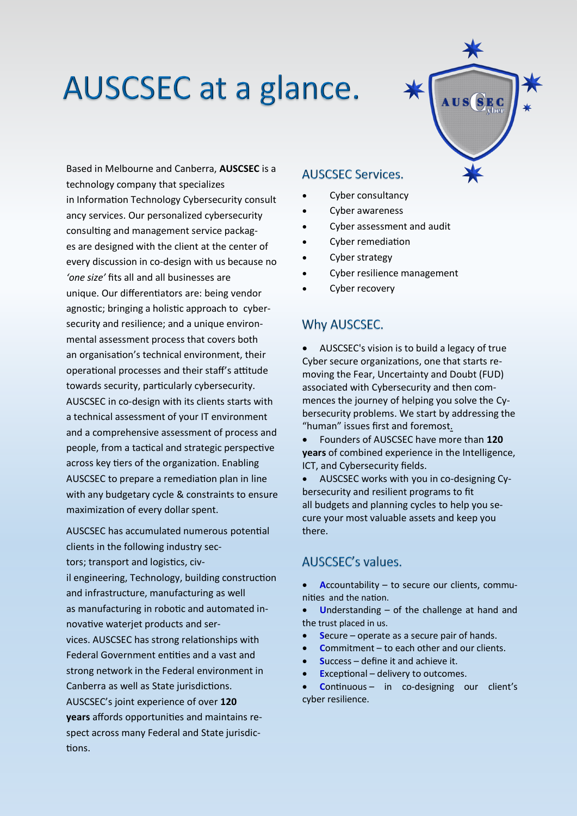

Based in Melbourne and Canberra, **AUSCSEC** is a technology company that specializes in Information Technology Cybersecurity consult ancy services. Our personalized cybersecurity consulting and management service packages are designed with the client at the center of every discussion in co-design with us because no *'one size'* fits all and all businesses are unique. Our differentiators are: being vendor agnostic; bringing a holistic approach to cybersecurity and resilience; and a unique environmental assessment process that covers both an organisation's technical environment, their operational processes and their staff's attitude towards security, particularly cybersecurity. AUSCSEC in co-design with its clients starts with a technical assessment of your IT environment and a comprehensive assessment of process and people, from a tactical and strategic perspective across key tiers of the organization. Enabling AUSCSEC to prepare a remediation plan in line with any budgetary cycle & constraints to ensure maximization of every dollar spent.

AUSCSEC has accumulated numerous potential clients in the following industry sectors; transport and logistics, civil engineering, Technology, building construction and infrastructure, manufacturing as well as manufacturing in robotic and automated innovative waterjet products and services. AUSCSEC has strong relationships with Federal Government entities and a vast and strong network in the Federal environment in Canberra as well as State jurisdictions. AUSCSEC's joint experience of over **120 years** affords opportunities and maintains respect across many Federal and State jurisdictions.

#### **AUSCSEC Services.**

- Cyber consultancy
- Cyber awareness
- Cyber assessment and audit
- Cyber remediation
- Cyber strategy
- Cyber resilience management
- Cyber recovery

#### Why AUSCSEC.

• AUSCSEC's vision is to build a legacy of true Cyber secure organizations, one that starts removing the Fear, Uncertainty and Doubt (FUD) associated with Cybersecurity and then commences the journey of helping you solve the Cybersecurity problems. We start by addressing the "human" issues first and foremost.

• Founders of AUSCSEC have more than **120 years** of combined experience in the Intelligence, ICT, and Cybersecurity fields.

• AUSCSEC works with you in co-designing Cybersecurity and resilient programs to fit all budgets and planning cycles to help you secure your most valuable assets and keep you there.

#### AUSCSEC's values.

• **A**ccountability – to secure our clients, communities and the nation.

• **U**nderstanding – of the challenge at hand and the trust placed in us.

- **S**ecure operate as a secure pair of hands.
- **C**ommitment to each other and our clients.
- **S**uccess define it and achieve it.
- **E**xceptional delivery to outcomes.

• **C**ontinuous – in co-designing our client's cyber resilience.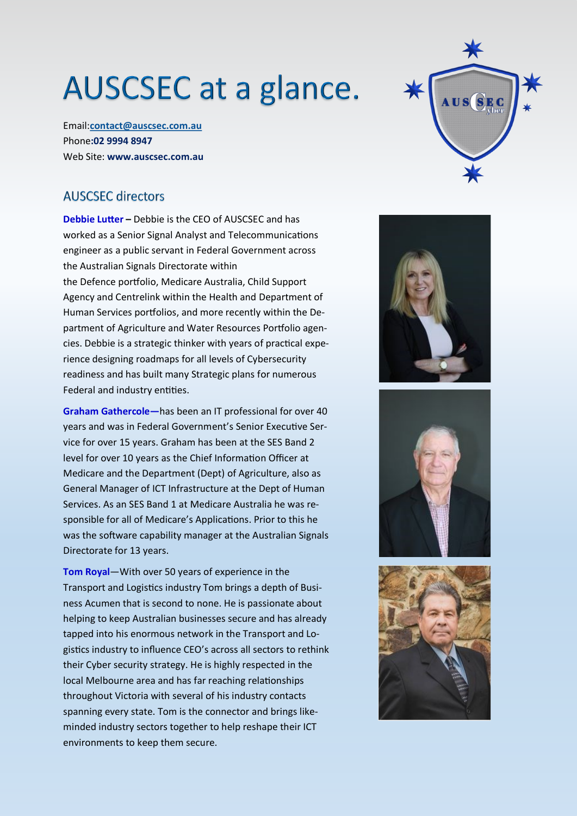Email:**[contact@auscsec.com.au](mailto:contact@auscsec.com.au)** Phone**:02 9994 8947** Web Site: **www.auscsec.com.au**

#### **AUSCSEC directors**

**Debbie Lutter –** Debbie is the CEO of AUSCSEC and has worked as a Senior Signal Analyst and Telecommunications engineer as a public servant in Federal Government across the Australian Signals Directorate within the Defence portfolio, Medicare Australia, Child Support Agency and Centrelink within the Health and Department of Human Services portfolios, and more recently within the Department of Agriculture and Water Resources Portfolio agencies. Debbie is a strategic thinker with years of practical experience designing roadmaps for all levels of Cybersecurity readiness and has built many Strategic plans for numerous Federal and industry entities.

**Graham Gathercole—**has been an IT professional for over 40 years and was in Federal Government's Senior Executive Service for over 15 years. Graham has been at the SES Band 2 level for over 10 years as the Chief Information Officer at Medicare and the Department (Dept) of Agriculture, also as General Manager of ICT Infrastructure at the Dept of Human Services. As an SES Band 1 at Medicare Australia he was responsible for all of Medicare's Applications. Prior to this he was the software capability manager at the Australian Signals Directorate for 13 years.

**Tom Royal**—With over 50 years of experience in the Transport and Logistics industry Tom brings a depth of Business Acumen that is second to none. He is passionate about helping to keep Australian businesses secure and has already tapped into his enormous network in the Transport and Logistics industry to influence CEO's across all sectors to rethink their Cyber security strategy. He is highly respected in the local Melbourne area and has far reaching relationships throughout Victoria with several of his industry contacts spanning every state. Tom is the connector and brings likeminded industry sectors together to help reshape their ICT environments to keep them secure.







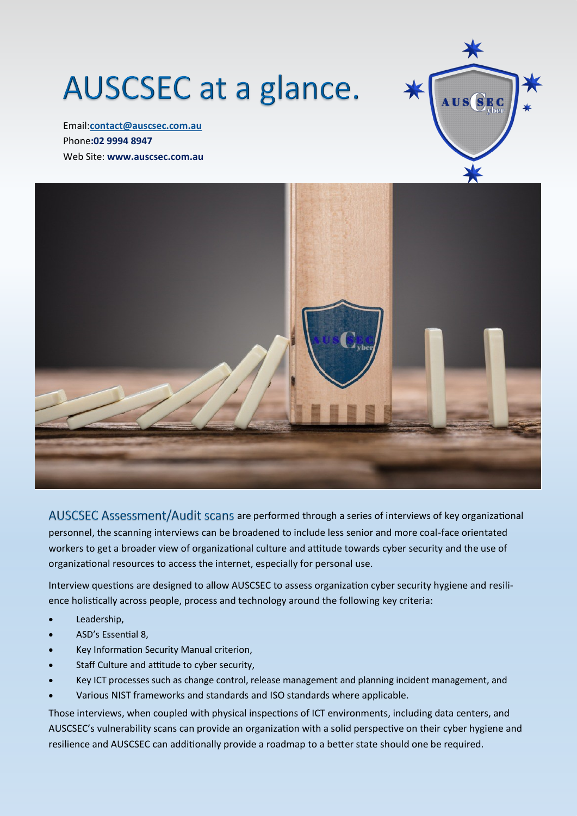Email:**[contact@auscsec.com.au](mailto:contact@auscsec.com.au)** Phone**:02 9994 8947** Web Site: **www.auscsec.com.au**





AUSCSEC Assessment/Audit scans are performed through a series of interviews of key organizational personnel, the scanning interviews can be broadened to include less senior and more coal-face orientated workers to get a broader view of organizational culture and attitude towards cyber security and the use of organizational resources to access the internet, especially for personal use.

Interview questions are designed to allow AUSCSEC to assess organization cyber security hygiene and resilience holistically across people, process and technology around the following key criteria:

- Leadership,
- ASD's Essential 8,
- Key Information Security Manual criterion,
- Staff Culture and attitude to cyber security,
- Key ICT processes such as change control, release management and planning incident management, and
- Various NIST frameworks and standards and ISO standards where applicable.

Those interviews, when coupled with physical inspections of ICT environments, including data centers, and AUSCSEC's vulnerability scans can provide an organization with a solid perspective on their cyber hygiene and resilience and AUSCSEC can additionally provide a roadmap to a better state should one be required.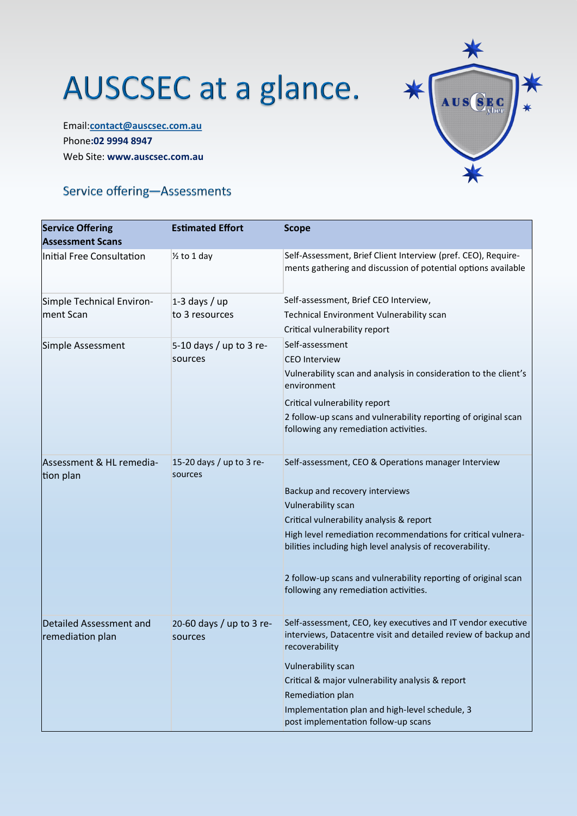Email:**[contact@auscsec.com.au](mailto:contact@auscsec.com.au)** Phone**:02 9994 8947** Web Site: **www.auscsec.com.au**



### Service offering-Assessments

| <b>Service Offering</b><br><b>Assessment Scans</b> | <b>Estimated Effort</b>             | <b>Scope</b>                                                                                                                                     |
|----------------------------------------------------|-------------------------------------|--------------------------------------------------------------------------------------------------------------------------------------------------|
| Initial Free Consultation                          | $\frac{1}{2}$ to 1 day              | Self-Assessment, Brief Client Interview (pref. CEO), Require-<br>ments gathering and discussion of potential options available                   |
| Simple Technical Environ-                          | $1-3$ days / up                     | Self-assessment, Brief CEO Interview,                                                                                                            |
| ment Scan                                          | to 3 resources                      | Technical Environment Vulnerability scan                                                                                                         |
|                                                    |                                     | Critical vulnerability report                                                                                                                    |
| Simple Assessment                                  | 5-10 days / up to 3 re-             | Self-assessment                                                                                                                                  |
|                                                    | sources                             | <b>CEO</b> Interview                                                                                                                             |
|                                                    |                                     | Vulnerability scan and analysis in consideration to the client's<br>environment                                                                  |
|                                                    |                                     | Critical vulnerability report                                                                                                                    |
|                                                    |                                     | 2 follow-up scans and vulnerability reporting of original scan<br>following any remediation activities.                                          |
|                                                    |                                     |                                                                                                                                                  |
| Assessment & HL remedia-<br>tion plan              | 15-20 days / up to 3 re-<br>sources | Self-assessment, CEO & Operations manager Interview                                                                                              |
|                                                    |                                     | Backup and recovery interviews                                                                                                                   |
|                                                    |                                     | <b>Vulnerability scan</b>                                                                                                                        |
|                                                    |                                     | Critical vulnerability analysis & report                                                                                                         |
|                                                    |                                     | High level remediation recommendations for critical vulnera-<br>bilities including high level analysis of recoverability.                        |
|                                                    |                                     | 2 follow-up scans and vulnerability reporting of original scan<br>following any remediation activities.                                          |
| Detailed Assessment and<br>remediation plan        | 20-60 days / up to 3 re-<br>sources | Self-assessment, CEO, key executives and IT vendor executive<br>interviews, Datacentre visit and detailed review of backup and<br>recoverability |
|                                                    |                                     | <b>Vulnerability scan</b>                                                                                                                        |
|                                                    |                                     | Critical & major vulnerability analysis & report                                                                                                 |
|                                                    |                                     | Remediation plan                                                                                                                                 |
|                                                    |                                     | Implementation plan and high-level schedule, 3<br>post implementation follow-up scans                                                            |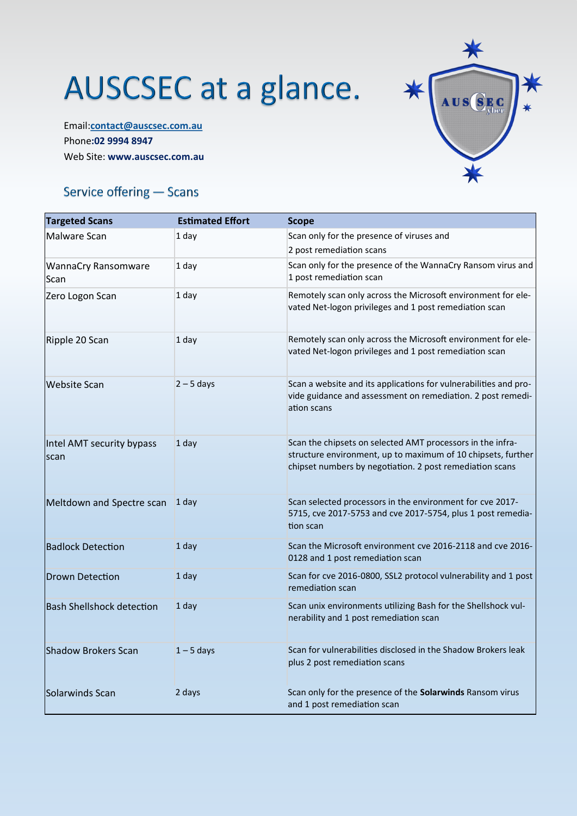Email:**[contact@auscsec.com.au](mailto:contact@auscsec.com.au)** Phone**:02 9994 8947** Web Site: **www.auscsec.com.au**



### Service offering - Scans

| <b>Targeted Scans</b>              | <b>Estimated Effort</b> | <b>Scope</b>                                                                                                                                                                           |
|------------------------------------|-------------------------|----------------------------------------------------------------------------------------------------------------------------------------------------------------------------------------|
| Malware Scan                       | 1 day                   | Scan only for the presence of viruses and<br>2 post remediation scans                                                                                                                  |
| <b>WannaCry Ransomware</b><br>Scan | 1 day                   | Scan only for the presence of the WannaCry Ransom virus and<br>1 post remediation scan                                                                                                 |
| Zero Logon Scan                    | 1 day                   | Remotely scan only across the Microsoft environment for ele-<br>vated Net-logon privileges and 1 post remediation scan                                                                 |
| Ripple 20 Scan                     | $1$ day                 | Remotely scan only across the Microsoft environment for ele-<br>vated Net-logon privileges and 1 post remediation scan                                                                 |
| <b>Website Scan</b>                | $2 - 5$ days            | Scan a website and its applications for vulnerabilities and pro-<br>vide guidance and assessment on remediation. 2 post remedi-<br>ation scans                                         |
| Intel AMT security bypass<br>scan  | 1 day                   | Scan the chipsets on selected AMT processors in the infra-<br>structure environment, up to maximum of 10 chipsets, further<br>chipset numbers by negotiation. 2 post remediation scans |
| Meltdown and Spectre scan          | 1 day                   | Scan selected processors in the environment for cve 2017-<br>5715, cve 2017-5753 and cve 2017-5754, plus 1 post remedia-<br>tion scan                                                  |
| <b>Badlock Detection</b>           | $1$ day                 | Scan the Microsoft environment cve 2016-2118 and cve 2016-<br>0128 and 1 post remediation scan                                                                                         |
| <b>Drown Detection</b>             | 1 day                   | Scan for cve 2016-0800, SSL2 protocol vulnerability and 1 post<br>remediation scan                                                                                                     |
| <b>Bash Shellshock detection</b>   | $1$ day                 | Scan unix environments utilizing Bash for the Shellshock vul-<br>nerability and 1 post remediation scan                                                                                |
| Shadow Brokers Scan                | $1 - 5$ days            | Scan for vulnerabilities disclosed in the Shadow Brokers leak<br>plus 2 post remediation scans                                                                                         |
| Solarwinds Scan                    | 2 days                  | Scan only for the presence of the Solarwinds Ransom virus<br>and 1 post remediation scan                                                                                               |